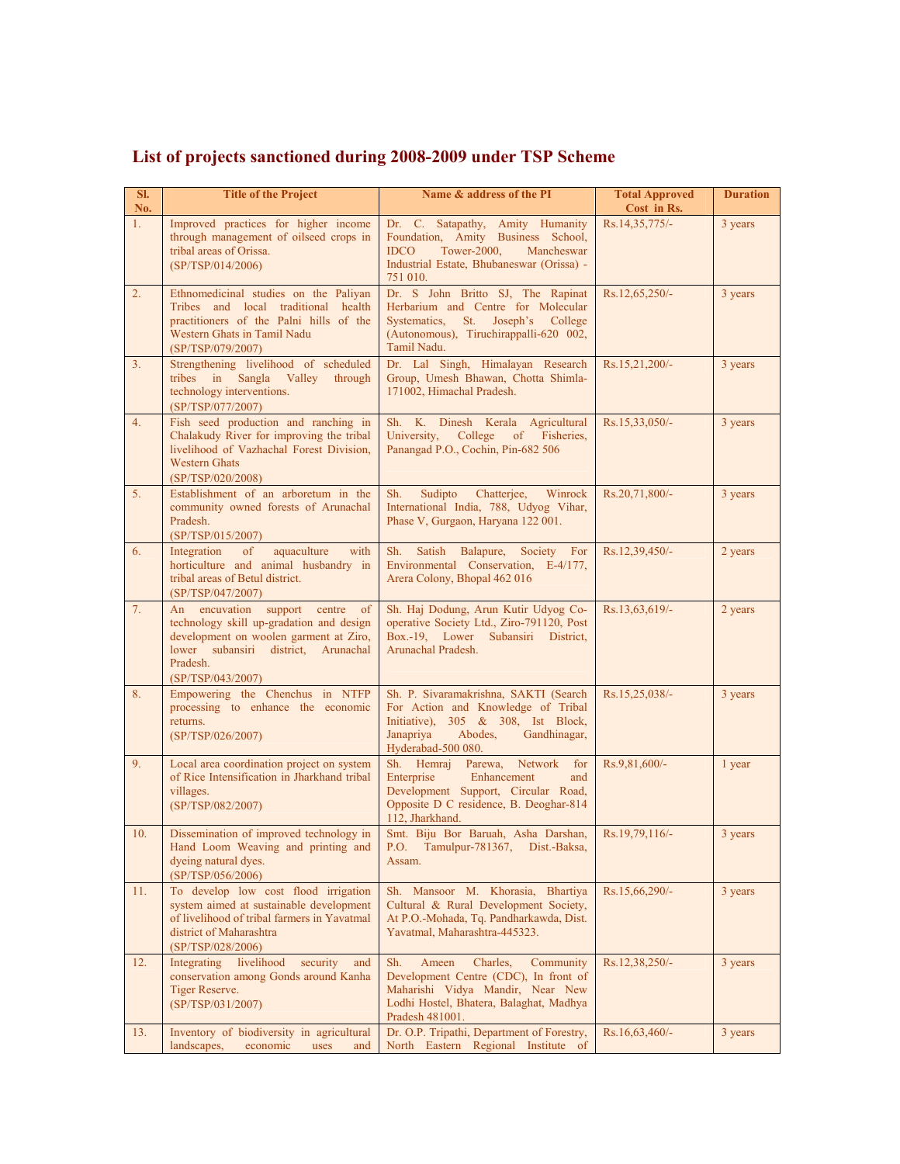| SI.       | <b>Title of the Project</b>                                                            | Name & address of the PI                                                              | <b>Total Approved</b>         | <b>Duration</b> |
|-----------|----------------------------------------------------------------------------------------|---------------------------------------------------------------------------------------|-------------------------------|-----------------|
| No.<br>1. | Improved practices for higher income                                                   | Dr. C. Satapathy, Amity Humanity                                                      | Cost in Rs.<br>Rs.14,35,775/- | 3 years         |
|           | through management of oilseed crops in                                                 | Foundation, Amity Business School,                                                    |                               |                 |
|           | tribal areas of Orissa.<br>(SP/TSP/014/2006)                                           | <b>IDCO</b><br>Tower-2000,<br>Mancheswar<br>Industrial Estate, Bhubaneswar (Orissa) - |                               |                 |
|           |                                                                                        | 751 010.                                                                              |                               |                 |
| 2.        | Ethnomedicinal studies on the Paliyan<br>Tribes and local traditional health           | Dr. S John Britto SJ, The Rapinat<br>Herbarium and Centre for Molecular               | Rs.12,65,250/-                | 3 years         |
|           | practitioners of the Palni hills of the                                                | Systematics,<br>St.<br>Joseph's<br>College                                            |                               |                 |
|           | Western Ghats in Tamil Nadu<br>(SP/TSP/079/2007)                                       | (Autonomous), Tiruchirappalli-620 002,<br>Tamil Nadu.                                 |                               |                 |
| 3.        | Strengthening livelihood of scheduled                                                  | Dr. Lal Singh, Himalayan Research                                                     | Rs.15,21,200/-                | 3 years         |
|           | tribes in Sangla Valley<br>through                                                     | Group, Umesh Bhawan, Chotta Shimla-                                                   |                               |                 |
|           | technology interventions.<br>(SP/TSP/077/2007)                                         | 171002, Himachal Pradesh.                                                             |                               |                 |
| 4.        | Fish seed production and ranching in                                                   | Sh. K. Dinesh Kerala Agricultural                                                     | Rs.15,33,050/-                | 3 years         |
|           | Chalakudy River for improving the tribal<br>livelihood of Vazhachal Forest Division,   | College<br>of Fisheries,<br>University,<br>Panangad P.O., Cochin, Pin-682 506         |                               |                 |
|           | <b>Western Ghats</b>                                                                   |                                                                                       |                               |                 |
| 5.        | (SP/TSP/020/2008)<br>Establishment of an arboretum in the                              | Sudipto<br>Chatterjee,<br>Winrock<br>Sh.                                              | Rs.20,71,800/-                | 3 years         |
|           | community owned forests of Arunachal                                                   | International India, 788, Udyog Vihar,                                                |                               |                 |
|           | Pradesh.<br>(SP/TSP/015/2007)                                                          | Phase V, Gurgaon, Haryana 122 001.                                                    |                               |                 |
| 6.        | Integration<br>of<br>aquaculture<br>with                                               | Balapure,<br>Society<br>Satish<br>For<br>Sh.                                          | Rs.12,39,450/-                | 2 years         |
|           | horticulture and animal husbandry in<br>tribal areas of Betul district.                | Environmental Conservation, E-4/177,<br>Arera Colony, Bhopal 462 016                  |                               |                 |
|           | (SP/TSP/047/2007)                                                                      |                                                                                       |                               |                 |
| 7.        | An encuvation support centre<br>of<br>technology skill up-gradation and design         | Sh. Haj Dodung, Arun Kutir Udyog Co-<br>operative Society Ltd., Ziro-791120, Post     | Rs.13,63,619/-                | 2 years         |
|           | development on woolen garment at Ziro,                                                 | Box.-19, Lower Subansiri District,                                                    |                               |                 |
|           | lower subansiri district,<br>Arunachal<br>Pradesh.                                     | Arunachal Pradesh.                                                                    |                               |                 |
|           | (SP/TSP/043/2007)                                                                      |                                                                                       |                               |                 |
| 8.        | Empowering the Chenchus in NTFP<br>processing to enhance the economic                  | Sh. P. Sivaramakrishna, SAKTI (Search<br>For Action and Knowledge of Tribal           | Rs.15,25,038/-                | 3 years         |
|           | returns.                                                                               | Initiative), 305 & 308, Ist Block,                                                    |                               |                 |
|           | (SP/TSP/026/2007)                                                                      | Janapriya<br>Abodes,<br>Gandhinagar,<br>Hyderabad-500 080.                            |                               |                 |
| 9.        | Local area coordination project on system                                              | Sh. Hemraj<br>Parewa, Network<br>for                                                  | Rs.9,81,600/-                 | 1 year          |
|           | of Rice Intensification in Jharkhand tribal<br>villages.                               | Enterprise<br>Enhancement<br>and<br>Development Support, Circular Road,               |                               |                 |
|           | (SP/TSP/082/2007)                                                                      | Opposite D C residence, B. Deoghar-814                                                |                               |                 |
| 10.       | Dissemination of improved technology in                                                | 112, Jharkhand.<br>Smt. Biju Bor Baruah, Asha Darshan,                                | Rs.19,79,116/-                | 3 years         |
|           | Hand Loom Weaving and printing and                                                     | Tamulpur-781367,<br>P.O.<br>Dist.-Baksa,                                              |                               |                 |
|           | dyeing natural dyes.<br>(SP/TSP/056/2006)                                              | Assam.                                                                                |                               |                 |
| 11.       | To develop low cost flood irrigation                                                   | Sh. Mansoor M. Khorasia, Bhartiya                                                     | Rs.15,66,290/-                | 3 years         |
|           | system aimed at sustainable development<br>of livelihood of tribal farmers in Yavatmal | Cultural & Rural Development Society,<br>At P.O.-Mohada, Tq. Pandharkawda, Dist.      |                               |                 |
|           | district of Maharashtra                                                                | Yavatmal, Maharashtra-445323.                                                         |                               |                 |
|           | (SP/TSP/028/2006)                                                                      |                                                                                       |                               |                 |
| 12.       | Integrating livelihood<br>security<br>and<br>conservation among Gonds around Kanha     | Sh.<br>Charles,<br>Ameen<br>Community<br>Development Centre (CDC), In front of        | Rs.12,38,250/-                | 3 years         |
|           | Tiger Reserve.                                                                         | Maharishi Vidya Mandir, Near New<br>Lodhi Hostel, Bhatera, Balaghat, Madhya           |                               |                 |
|           | (SP/TSP/031/2007)                                                                      | Pradesh 481001.                                                                       |                               |                 |
| 13.       | Inventory of biodiversity in agricultural                                              | Dr. O.P. Tripathi, Department of Forestry,                                            | Rs.16,63,460/-                | 3 years         |

North Eastern Regional Institute of

landscapes, economic uses and

## **List of projects sanctioned during 2008-2009 under TSP Scheme**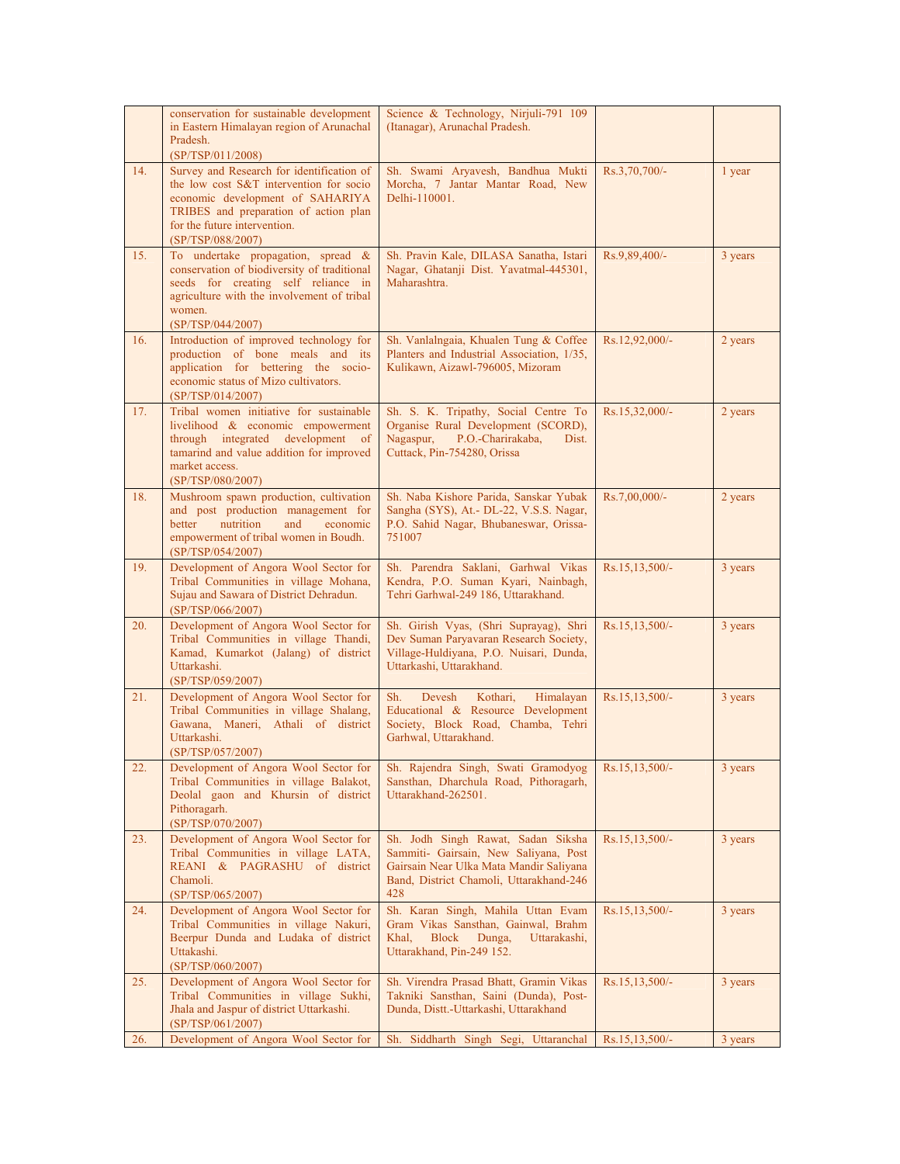|     | conservation for sustainable development<br>in Eastern Himalayan region of Arunachal<br>Pradesh.                                                                                                                           | Science & Technology, Nirjuli-791 109<br>(Itanagar), Arunachal Pradesh.                                                                                                  |                  |         |
|-----|----------------------------------------------------------------------------------------------------------------------------------------------------------------------------------------------------------------------------|--------------------------------------------------------------------------------------------------------------------------------------------------------------------------|------------------|---------|
| 14. | (SP/TSP/011/2008)<br>Survey and Research for identification of<br>the low cost S&T intervention for socio<br>economic development of SAHARIYA<br>TRIBES and preparation of action plan<br>for the future intervention.     | Sh. Swami Aryavesh, Bandhua Mukti<br>Morcha, 7 Jantar Mantar Road, New<br>Delhi-110001.                                                                                  | Rs.3,70,700/-    | 1 year  |
| 15. | (SP/TSP/088/2007)<br>To undertake propagation, spread &<br>conservation of biodiversity of traditional<br>seeds for creating self reliance in<br>agriculture with the involvement of tribal<br>women.<br>(SP/TSP/044/2007) | Sh. Pravin Kale, DILASA Sanatha, Istari<br>Nagar, Ghatanji Dist. Yavatmal-445301,<br>Maharashtra.                                                                        | Rs.9,89,400/-    | 3 years |
| 16. | Introduction of improved technology for<br>production of bone meals and its<br>application for bettering the socio-<br>economic status of Mizo cultivators.<br>(SP/TSP/014/2007)                                           | Sh. Vanlalngaia, Khualen Tung & Coffee<br>Planters and Industrial Association, 1/35,<br>Kulikawn, Aizawl-796005, Mizoram                                                 | Rs.12,92,000/-   | 2 years |
| 17. | Tribal women initiative for sustainable<br>livelihood & economic empowerment<br>through integrated development<br>$\circ$ of<br>tamarind and value addition for improved<br>market access.<br>(SP/TSP/080/2007)            | Sh. S. K. Tripathy, Social Centre To<br>Organise Rural Development (SCORD),<br>Nagaspur,<br>P.O.-Charirakaba,<br>Dist.<br>Cuttack, Pin-754280, Orissa                    | Rs.15,32,000/-   | 2 years |
| 18. | Mushroom spawn production, cultivation<br>and post production management for<br>better<br>nutrition<br>and<br>economic<br>empowerment of tribal women in Boudh.<br>(SP/TSP/054/2007)                                       | Sh. Naba Kishore Parida, Sanskar Yubak<br>Sangha (SYS), At.- DL-22, V.S.S. Nagar,<br>P.O. Sahid Nagar, Bhubaneswar, Orissa-<br>751007                                    | Rs.7,00,000/-    | 2 years |
| 19. | Development of Angora Wool Sector for<br>Tribal Communities in village Mohana,<br>Sujau and Sawara of District Dehradun.<br>(SP/TSP/066/2007)                                                                              | Sh. Parendra Saklani, Garhwal Vikas<br>Kendra, P.O. Suman Kyari, Nainbagh,<br>Tehri Garhwal-249 186, Uttarakhand.                                                        | Rs.15,13,500/-   | 3 years |
| 20. | Development of Angora Wool Sector for<br>Tribal Communities in village Thandi,<br>Kamad, Kumarkot (Jalang) of district<br>Uttarkashi.<br>(SP/TSP/059/2007)                                                                 | Sh. Girish Vyas, (Shri Suprayag), Shri<br>Dev Suman Paryavaran Research Society,<br>Village-Huldiyana, P.O. Nuisari, Dunda,<br>Uttarkashi, Uttarakhand.                  | Rs.15,13,500/-   | 3 years |
| 21. | Development of Angora Wool Sector for<br>Tribal Communities in village Shalang,<br>Gawana, Maneri, Athali of district<br>Uttarkashi.<br>(SP/TSP/057/2007)                                                                  | Devesh<br>Kothari,<br>Himalayan<br>Sh.<br>Educational & Resource Development<br>Society, Block Road, Chamba, Tehri<br>Garhwal, Uttarakhand.                              | Rs.15,13,500/-   | 3 years |
| 22. | Development of Angora Wool Sector for<br>Tribal Communities in village Balakot,<br>Deolal gaon and Khursin of district<br>Pithoragarh.<br>(SP/TSP/070/2007)                                                                | Sh. Rajendra Singh, Swati Gramodyog<br>Sansthan, Dharchula Road, Pithoragarh,<br>Uttarakhand-262501.                                                                     | Rs.15,13,500/-   | 3 years |
| 23. | Development of Angora Wool Sector for<br>Tribal Communities in village LATA,<br>REANI & PAGRASHU of district<br>Chamoli.<br>(SP/TSP/065/2007)                                                                              | Sh. Jodh Singh Rawat, Sadan Siksha<br>Sammiti- Gairsain, New Saliyana, Post<br>Gairsain Near Ulka Mata Mandir Saliyana<br>Band, District Chamoli, Uttarakhand-246<br>428 | Rs.15,13,500/-   | 3 years |
| 24. | Development of Angora Wool Sector for<br>Tribal Communities in village Nakuri,<br>Beerpur Dunda and Ludaka of district<br>Uttakashi.<br>(SP/TSP/060/2007)                                                                  | Sh. Karan Singh, Mahila Uttan Evam<br>Gram Vikas Sansthan, Gainwal, Brahm<br>Khal.<br>Block<br>Dunga,<br>Uttarakashi,<br>Uttarakhand, Pin-249 152.                       | Rs.15,13,500/-   | 3 years |
| 25. | Development of Angora Wool Sector for<br>Tribal Communities in village Sukhi,<br>Jhala and Jaspur of district Uttarkashi.<br>(SP/TSP/061/2007)                                                                             | Sh. Virendra Prasad Bhatt, Gramin Vikas<br>Takniki Sansthan, Saini (Dunda), Post-<br>Dunda, Distt.-Uttarkashi, Uttarakhand                                               | Rs.15,13,500/-   | 3 years |
| 26. | Development of Angora Wool Sector for                                                                                                                                                                                      | Sh. Siddharth Singh Segi, Uttaranchal                                                                                                                                    | $Rs.15,13,500/-$ | 3 years |